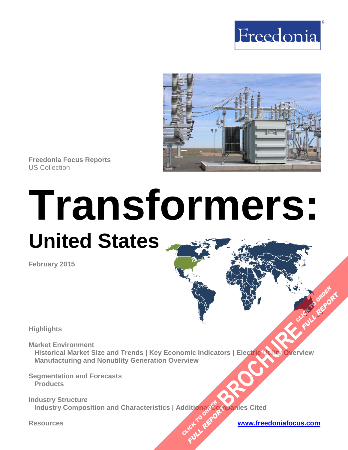



**Freedonia Focus Reports** US Collection

# **Transformers: United States**

**February 2015**

**Highlights** 

**Market Environment Historical Market Size and Trends | Key Economic Indicators | Electric Utility Overview Manufacturing and Nonutility Generation Overview [BROCHURE](http://www.freedoniagroup.com/FocusDetails.aspx?ReferrerId=FM-FocusBro&ReportID=FF45018) AND OVERVIEW CLICK TO ORDER** 

**Segmentation and Forecasts Products** 

**Industry Structure Industry Composition and Characteristics | Additional Companies Cited** ddition<sub>adera</sub> **FULL REPORT** 

**Resources [www.freedoniafocus.com](http://www.freedoniagroup.com/FocusReports.aspx?ReferrerId=FM-FocusBro)**

**FULL REPORT**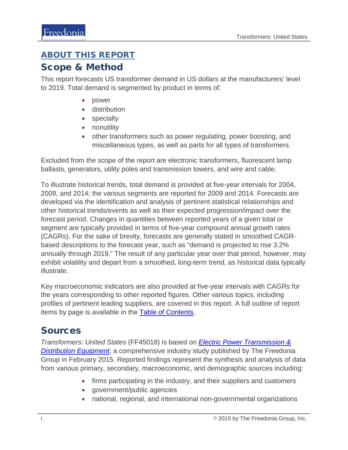#### <span id="page-1-0"></span>ABOUT THIS REPORT

#### Scope & Method

This report forecasts US transformer demand in US dollars at the manufacturers' level to 2019. Total demand is segmented by product in terms of:

- power
- distribution
- specialty
- nonutility
- other transformers such as power regulating, power boosting, and miscellaneous types, as well as parts for all types of transformers.

Excluded from the scope of the report are electronic transformers, fluorescent lamp ballasts, generators, utility poles and transmission towers, and wire and cable.

To illustrate historical trends, total demand is provided at five-year intervals for 2004, 2009, and 2014; the various segments are reported for 2009 and 2014. Forecasts are developed via the identification and analysis of pertinent statistical relationships and other historical trends/events as well as their expected progression/impact over the forecast period. Changes in quantities between reported years of a given total or segment are typically provided in terms of five-year compound annual growth rates (CAGRs). For the sake of brevity, forecasts are generally stated in smoothed CAGRbased descriptions to the forecast year, such as "demand is projected to rise 3.2% annually through 2019." The result of any particular year over that period, however, may exhibit volatility and depart from a smoothed, long-term trend, as historical data typically illustrate.

Key macroeconomic indicators are also provided at five-year intervals with CAGRs for the years corresponding to other reported figures. Other various topics, including profiles of pertinent leading suppliers, are covered in this report. A full outline of report items by page is available in the **Table of Contents**.

## Sources

*Transformers: United States* (FF45018) is based on *[Electric Power Transmission &](http://www.freedoniagroup.com/DocumentDetails.aspx?ReferrerId=FL-FOCUS&studyid=3256)  [Distribution Equipment](http://www.freedoniagroup.com/DocumentDetails.aspx?ReferrerId=FL-FOCUS&studyid=3256)*, a comprehensive industry study published by The Freedonia Group in February 2015. Reported findings represent the synthesis and analysis of data from various primary, secondary, macroeconomic, and demographic sources including:

- firms participating in the industry, and their suppliers and customers
- government/public agencies
- national, regional, and international non-governmental organizations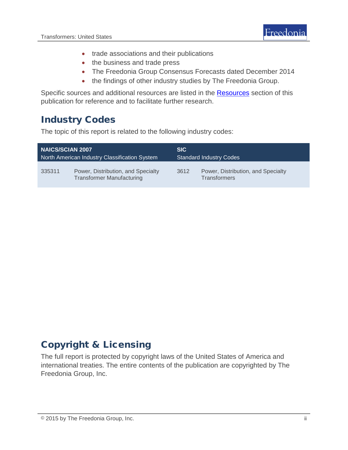- trade associations and their publications
- the business and trade press
- The Freedonia Group Consensus Forecasts dated December 2014
- the findings of other industry studies by The Freedonia Group.

Specific sources and additional resources are listed in the Resources section of this publication for reference and to facilitate further research.

## Industry Codes

The topic of this report is related to the following industry codes:

| <b>NAICS/SCIAN 2007</b>                       |                                                                        | SIC.                           |                                                           |
|-----------------------------------------------|------------------------------------------------------------------------|--------------------------------|-----------------------------------------------------------|
| North American Industry Classification System |                                                                        | <b>Standard Industry Codes</b> |                                                           |
| 335311                                        | Power, Distribution, and Specialty<br><b>Transformer Manufacturing</b> | 3612                           | Power, Distribution, and Specialty<br><b>Transformers</b> |

## Copyright & Licensing

The full report is protected by copyright laws of the United States of America and international treaties. The entire contents of the publication are copyrighted by The Freedonia Group, Inc.